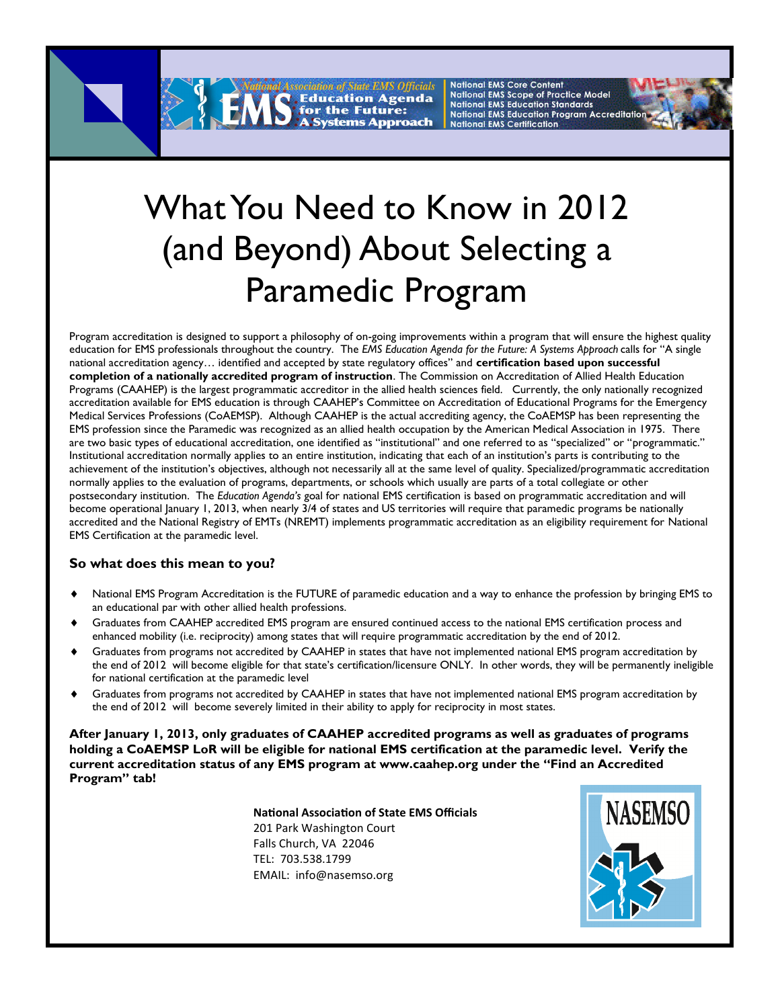**National EMS Core Content** *Hicials* 

**National EMS Scope of Practice Model National EMS Education Standards National EMS Education Program Accreditation National EMS Certification** 



## What You Need to Know in 2012 (and Beyond) About Selecting a Paramedic Program

for the Future:

Program accreditation is designed to support a philosophy of on-going improvements within a program that will ensure the highest quality education for EMS professionals throughout the country. The *EMS Education Agenda for the Future: A Systems Approach* calls for "A single national accreditation agency… identified and accepted by state regulatory offices" and **certification based upon successful completion of a nationally accredited program of instruction**. The Commission on Accreditation of Allied Health Education Programs (CAAHEP) is the largest programmatic accreditor in the allied health sciences field. Currently, the only nationally recognized accreditation available for EMS education is through CAAHEP's Committee on Accreditation of Educational Programs for the Emergency Medical Services Professions (CoAEMSP). Although CAAHEP is the actual accrediting agency, the CoAEMSP has been representing the EMS profession since the Paramedic was recognized as an allied health occupation by the American Medical Association in 1975. There are two basic types of educational accreditation, one identified as "institutional" and one referred to as "specialized" or "programmatic." Institutional accreditation normally applies to an entire institution, indicating that each of an institution's parts is contributing to the achievement of the institution's objectives, although not necessarily all at the same level of quality. Specialized/programmatic accreditation normally applies to the evaluation of programs, departments, or schools which usually are parts of a total collegiate or other postsecondary institution. The *Education Agenda's* goal for national EMS certification is based on programmatic accreditation and will become operational January 1, 2013, when nearly 3/4 of states and US territories will require that paramedic programs be nationally accredited and the National Registry of EMTs (NREMT) implements programmatic accreditation as an eligibility requirement for National EMS Certification at the paramedic level.

## **So what does this mean to you?**

- National EMS Program Accreditation is the FUTURE of paramedic education and a way to enhance the profession by bringing EMS to an educational par with other allied health professions.
- Graduates from CAAHEP accredited EMS program are ensured continued access to the national EMS certification process and enhanced mobility (i.e. reciprocity) among states that will require programmatic accreditation by the end of 2012.
- Graduates from programs not accredited by CAAHEP in states that have not implemented national EMS program accreditation by the end of 2012 will become eligible for that state's certification/licensure ONLY. In other words, they will be permanently ineligible for national certification at the paramedic level
- Graduates from programs not accredited by CAAHEP in states that have not implemented national EMS program accreditation by the end of 2012 will become severely limited in their ability to apply for reciprocity in most states.

**After January 1, 2013, only graduates of CAAHEP accredited programs as well as graduates of programs holding a CoAEMSP LoR will be eligible for national EMS certification at the paramedic level. Verify the current accreditation status of any EMS program at www.caahep.org under the "Find an Accredited Program" tab!** 

> **National Association of State EMS Officials** 201 Park Washington Court Falls Church, VA 22046 TEL: 703.538.1799 EMAIL: info@nasemso.org